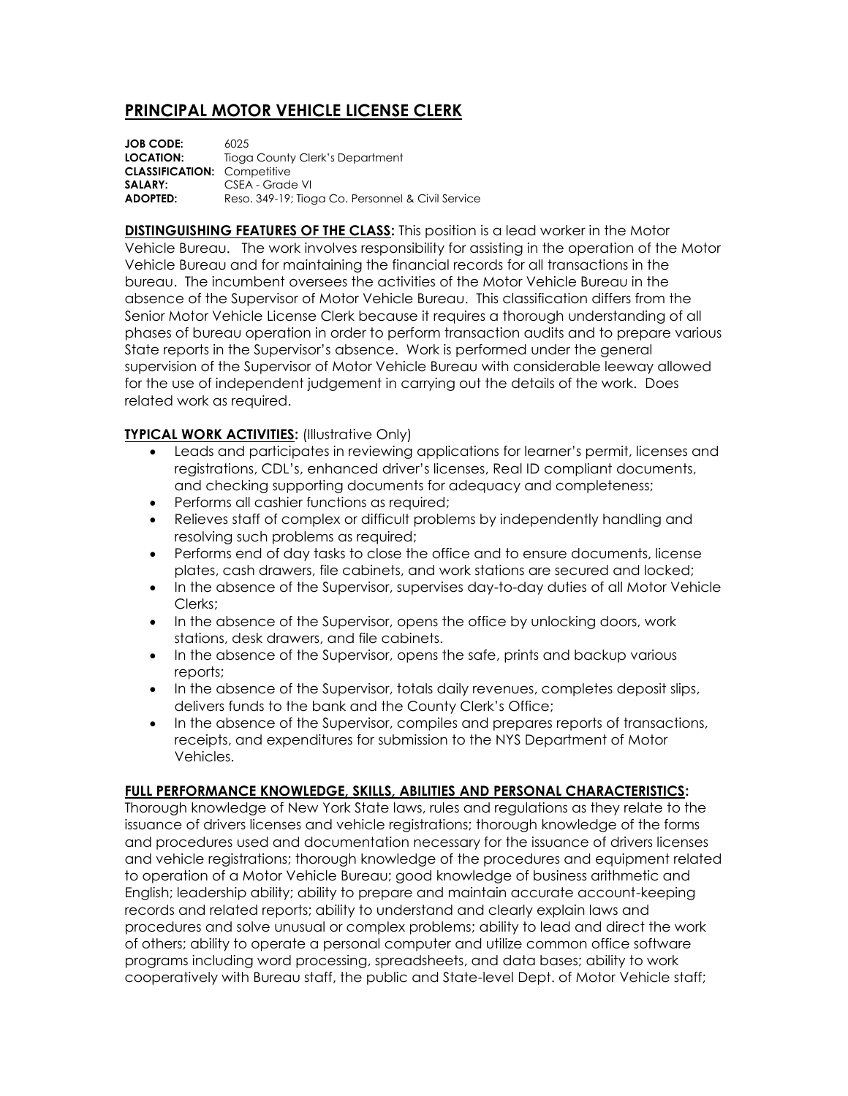## **PRINCIPAL MOTOR VEHICLE LICENSE CLERK**

**JOB CODE:** 6025 **LOCATION:** Tioga County Clerk's Department **CLASSIFICATION:** Competitive **SALARY:** CSEA - Grade VI **ADOPTED:** Reso. 349-19; Tioga Co. Personnel & Civil Service

**DISTINGUISHING FEATURES OF THE CLASS:** This position is a lead worker in the Motor Vehicle Bureau. The work involves responsibility for assisting in the operation of the Motor Vehicle Bureau and for maintaining the financial records for all transactions in the bureau. The incumbent oversees the activities of the Motor Vehicle Bureau in the absence of the Supervisor of Motor Vehicle Bureau. This classification differs from the Senior Motor Vehicle License Clerk because it requires a thorough understanding of all phases of bureau operation in order to perform transaction audits and to prepare various State reports in the Supervisor's absence. Work is performed under the general supervision of the Supervisor of Motor Vehicle Bureau with considerable leeway allowed for the use of independent judgement in carrying out the details of the work. Does related work as required.

## **TYPICAL WORK ACTIVITIES:** (Illustrative Only)

- Leads and participates in reviewing applications for learner's permit, licenses and registrations, CDL's, enhanced driver's licenses, Real ID compliant documents, and checking supporting documents for adequacy and completeness;
- Performs all cashier functions as required;
- Relieves staff of complex or difficult problems by independently handling and resolving such problems as required;
- Performs end of day tasks to close the office and to ensure documents, license plates, cash drawers, file cabinets, and work stations are secured and locked;
- In the absence of the Supervisor, supervises day-to-day duties of all Motor Vehicle Clerks;
- In the absence of the Supervisor, opens the office by unlocking doors, work stations, desk drawers, and file cabinets.
- In the absence of the Supervisor, opens the safe, prints and backup various reports;
- In the absence of the Supervisor, totals daily revenues, completes deposit slips, delivers funds to the bank and the County Clerk's Office;
- In the absence of the Supervisor, compiles and prepares reports of transactions, receipts, and expenditures for submission to the NYS Department of Motor Vehicles.

## **FULL PERFORMANCE KNOWLEDGE, SKILLS, ABILITIES AND PERSONAL CHARACTERISTICS:**

Thorough knowledge of New York State laws, rules and regulations as they relate to the issuance of drivers licenses and vehicle registrations; thorough knowledge of the forms and procedures used and documentation necessary for the issuance of drivers licenses and vehicle registrations; thorough knowledge of the procedures and equipment related to operation of a Motor Vehicle Bureau; good knowledge of business arithmetic and English; leadership ability; ability to prepare and maintain accurate account-keeping records and related reports; ability to understand and clearly explain laws and procedures and solve unusual or complex problems; ability to lead and direct the work of others; ability to operate a personal computer and utilize common office software programs including word processing, spreadsheets, and data bases; ability to work cooperatively with Bureau staff, the public and State-level Dept. of Motor Vehicle staff;